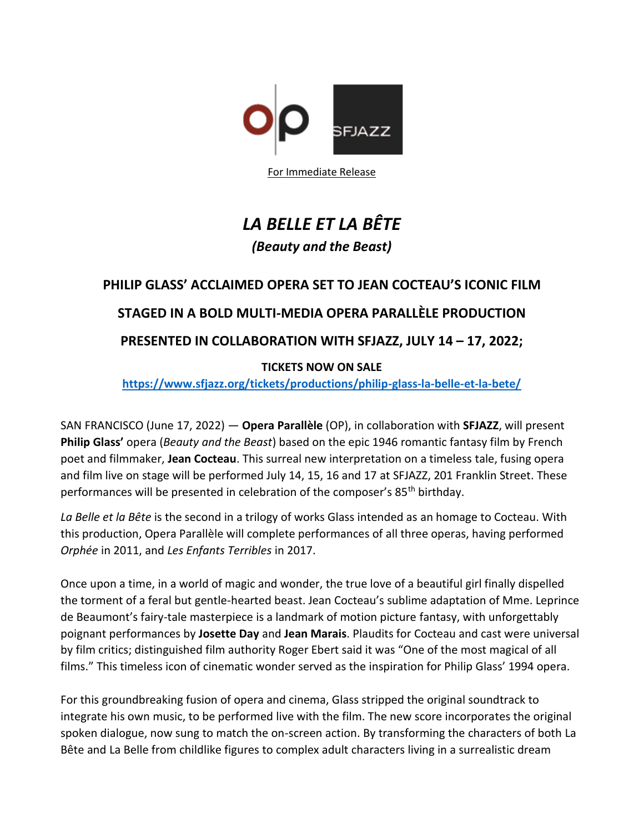

For Immediate Release

# *LA BELLE ET LA BÊTE (Beauty and the Beast)*

## **PHILIP GLASS' ACCLAIMED OPERA SET TO JEAN COCTEAU'S ICONIC FILM**

## **STAGED IN A BOLD MULTI-MEDIA OPERA PARALLÈLE PRODUCTION**

## **PRESENTED IN COLLABORATION WITH SFJAZZ, JULY 14 – 17, 2022;**

#### **TICKETS NOW ON SALE**

#### **<https://www.sfjazz.org/tickets/productions/philip-glass-la-belle-et-la-bete/>**

SAN FRANCISCO (June 17, 2022) — **Opera Parallèle** (OP), in collaboration with **SFJAZZ**, will present **Philip Glass'** opera (*Beauty and the Beast*) based on the epic 1946 romantic fantasy film by French poet and filmmaker, **Jean Cocteau**. This surreal new interpretation on a timeless tale, fusing opera and film live on stage will be performed July 14, 15, 16 and 17 at SFJAZZ, 201 Franklin Street. These performances will be presented in celebration of the composer's 85<sup>th</sup> birthday.

*La Belle et la Bête* is the second in a trilogy of works Glass intended as an homage to Cocteau. With this production, Opera Parallèle will complete performances of all three operas, having performed *Orphée* in 2011, and *Les Enfants Terribles* in 2017.

Once upon a time, in a world of magic and wonder, the true love of a beautiful girl finally dispelled the torment of a feral but gentle-hearted beast. Jean Cocteau's sublime adaptation of Mme. Leprince de Beaumont's fairy-tale masterpiece is a landmark of motion picture fantasy, with unforgettably poignant performances by **Josette Day** and **Jean Marais**. Plaudits for Cocteau and cast were universal by film critics; distinguished film authority Roger Ebert said it was "One of the most magical of all films." This timeless icon of cinematic wonder served as the inspiration for Philip Glass' 1994 opera.

For this groundbreaking fusion of opera and cinema, Glass stripped the original soundtrack to integrate his own music, to be performed live with the film. The new score incorporates the original spoken dialogue, now sung to match the on-screen action. By transforming the characters of both La Bête and La Belle from childlike figures to complex adult characters living in a surrealistic dream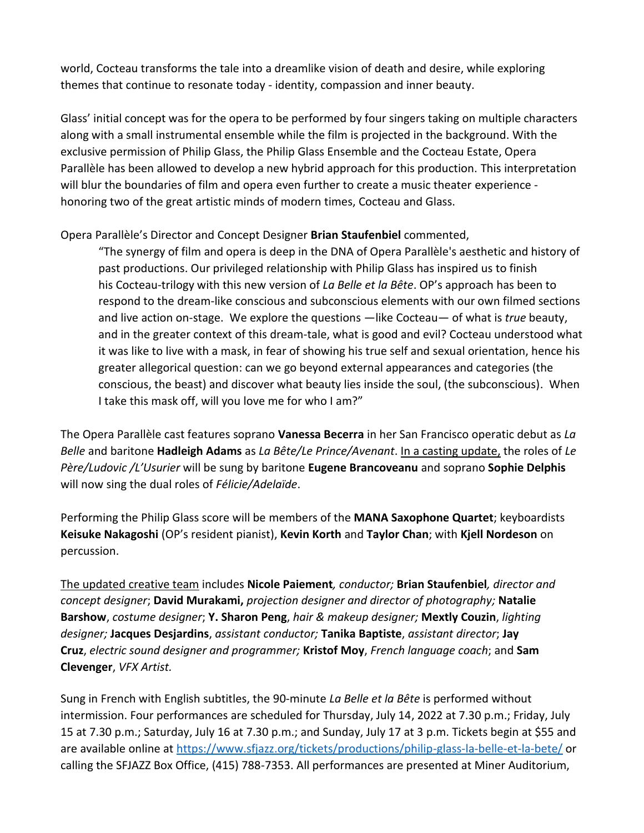world, Cocteau transforms the tale into a dreamlike vision of death and desire, while exploring themes that continue to resonate today - identity, compassion and inner beauty.

Glass' initial concept was for the opera to be performed by four singers taking on multiple characters along with a small instrumental ensemble while the film is projected in the background. With the exclusive permission of Philip Glass, the Philip Glass Ensemble and the Cocteau Estate, Opera Parallèle has been allowed to develop a new hybrid approach for this production. This interpretation will blur the boundaries of film and opera even further to create a music theater experience honoring two of the great artistic minds of modern times, Cocteau and Glass.

Opera Parallèle's Director and Concept Designer **Brian Staufenbiel** commented,

"The synergy of film and opera is deep in the DNA of Opera Parallèle's aesthetic and history of past productions. Our privileged relationship with Philip Glass has inspired us to finish his Cocteau-trilogy with this new version of *La Belle et la Bête*. OP's approach has been to respond to the dream-like conscious and subconscious elements with our own filmed sections and live action on-stage. We explore the questions —like Cocteau— of what is *true* beauty, and in the greater context of this dream-tale, what is good and evil? Cocteau understood what it was like to live with a mask, in fear of showing his true self and sexual orientation, hence his greater allegorical question: can we go beyond external appearances and categories (the conscious, the beast) and discover what beauty lies inside the soul, (the subconscious). When I take this mask off, will you love me for who I am?"

The Opera Parallèle cast features soprano **Vanessa Becerra** in her San Francisco operatic debut as *La Belle* and baritone **Hadleigh Adams** as *La Bête/Le Prince/Avenant*. In a casting update, the roles of *Le Père/Ludovic /L'Usurier* will be sung by baritone **Eugene Brancoveanu** and soprano **Sophie Delphis**  will now sing the dual roles of *Félicie/Adelaïde*.

Performing the Philip Glass score will be members of the **MANA Saxophone Quartet**; keyboardists **Keisuke Nakagoshi** (OP's resident pianist), **Kevin Korth** and **Taylor Chan**; with **Kjell Nordeson** on percussion.

The updated creative team includes **Nicole Paiement***, conductor;* **Brian Staufenbiel***, director and concept designer*; **David Murakami,** *projection designer and director of photography;* **Natalie Barshow**, *costume designer*; **Y. Sharon Peng**, *hair & makeup designer;* **Mextly Couzin**, *lighting designer;* **Jacques Desjardins**, *assistant conductor;* **Tanika Baptiste**, *assistant director*; **Jay Cruz**, *electric sound designer and programmer;* **Kristof Moy**, *French language coach*; and **Sam Clevenger**, *VFX Artist.*

Sung in French with English subtitles, the 90-minute *La Belle et la Bête* is performed without intermission. Four performances are scheduled for Thursday, July 14, 2022 at 7.30 p.m.; Friday, July 15 at 7.30 p.m.; Saturday, July 16 at 7.30 p.m.; and Sunday, July 17 at 3 p.m. Tickets begin at \$55 and are available online at<https://www.sfjazz.org/tickets/productions/philip-glass-la-belle-et-la-bete/> or calling the SFJAZZ Box Office, (415) 788-7353. All performances are presented at Miner Auditorium,